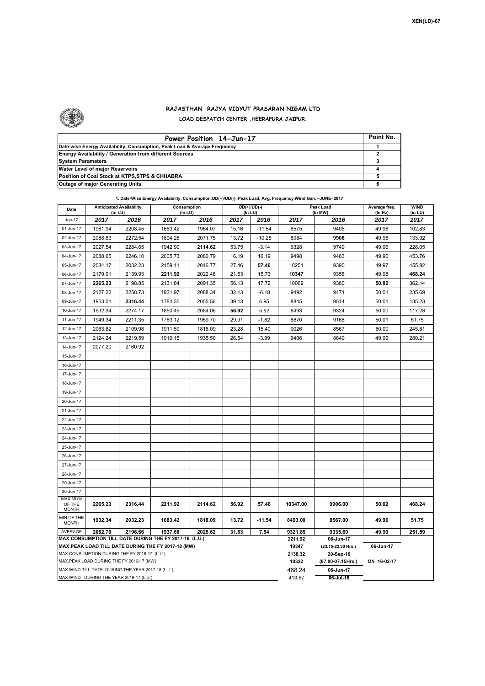

## **RAJASTHAN RAJYA VIDYUT PRASARAN NIGAM LTD LOAD DESPATCH CENTER ,HEERAPURA JAIPUR.**

| Power Position 14-Jun-17                                                  | Point No. |
|---------------------------------------------------------------------------|-----------|
| Date-wise Energy Availability, Consumption, Peak Load & Average Frequency |           |
| <b>Energy Availability / Generation from different Sources</b>            |           |
| <b>System Parameters</b>                                                  |           |
| Water Level of major Reservoirs                                           |           |
| Position of Coal Stock at KTPS, STPS & CHHABRA                            |           |
| <b>Outage of major Generating Units</b>                                   |           |

## **1. Date-Wise Energy Availability, Consumption,OD(+)/UD(-), Peak Load, Avg. Frequency,Wind Gen. –JUNE- 2017**

| Date                                                                                               | <b>Anticipated Availability</b><br>(In LU) |         | Consumption<br>(In LU) |         |       | OD(+)/UD(-)<br>$($ In LU $)$ |                  | Peak Load<br>(In MW)            | Average freq.<br>(In Hz) | WIND<br>(in LU) |  |  |
|----------------------------------------------------------------------------------------------------|--------------------------------------------|---------|------------------------|---------|-------|------------------------------|------------------|---------------------------------|--------------------------|-----------------|--|--|
| Jun-17                                                                                             | 2017                                       | 2016    | 2017                   | 2016    | 2017  | 2016                         | 2017             | 2016                            | 2017                     | 2017            |  |  |
| 01-Jun-17                                                                                          | 1961.94                                    | 2208.45 | 1683.42                | 1964.07 | 15.16 | $-11.54$                     | 8575             | 9405                            | 49.96                    | 102.83          |  |  |
| 02-Jun-17                                                                                          | 2088.83                                    | 2272.54 | 1894.26                | 2071.75 | 13.72 | $-10.25$                     | 8984             | 9906                            | 49.96                    | 133.92          |  |  |
| 03-Jun-17                                                                                          | 2027.54                                    | 2284.65 | 1942.90                | 2114.62 | 53.75 | $-3.14$                      | 9328             | 9749                            | 49.96                    | 228.05          |  |  |
| 04-Jun-17                                                                                          | 2088.65                                    | 2246.10 | 2005.73                | 2080.79 | 16.19 | 16.19                        | 9498             | 9483                            | 49.96                    | 453.76          |  |  |
| 05-Jun-17                                                                                          | 2084.17                                    | 2032.23 | 2159.11                | 2046.77 | 27.46 | 57.46                        | 10251            | 9390                            | 49.97                    | 455.82          |  |  |
| 06-Jun-17                                                                                          | 2179.91                                    | 2139.93 | 2211.92                | 2022.48 | 21.53 | 15.73                        | 10347            | 9358                            | 49.98                    | 468.24          |  |  |
| 07-Jun-17                                                                                          | 2265.23                                    | 2198.85 | 2131.84                | 2091.35 | 56.13 | 17.72                        | 10069            | 9380                            | 50.02                    | 362.14          |  |  |
| 08-Jun-17                                                                                          | 2127.22                                    | 2258.73 | 1931.97                | 2088.34 | 32.13 | $-6.18$                      | 9492             | 9471                            | 50.01                    | 235.69          |  |  |
| 09-Jun-17                                                                                          | 1953.01                                    | 2316.44 | 1784.35                | 2055.56 | 39.13 | 6.95                         | 8845             | 9514                            | 50.01                    | 135.23          |  |  |
| 10-Jun-17                                                                                          | 1932.34                                    | 2274.17 | 1850.49                | 2084.06 | 56.92 | 5.52                         | 8493             | 9324                            | 50.00                    | 117.28          |  |  |
| 11-Jun-17                                                                                          | 1949.34                                    | 2211.35 | 1763.12                | 1959.70 | 29.31 | $-1.82$                      | 8870             | 9168                            | 50.01                    | 51.75           |  |  |
| 12-Jun-17                                                                                          | 2063.82                                    | 2109.98 | 1911.59                | 1818.09 | 23.28 | 15.40                        | 9026             | 8567                            | 50.00                    | 245.81          |  |  |
| 13-Jun-17                                                                                          | 2124.24                                    | 2219.59 | 1919.15                | 1935.50 | 26.54 | $-3.99$                      | 9406             | 8649                            | 49.99                    | 280.21          |  |  |
| 14-Jun-17                                                                                          | 2077.20                                    | 2160.92 |                        |         |       |                              |                  |                                 |                          |                 |  |  |
| 15-Jun-17                                                                                          |                                            |         |                        |         |       |                              |                  |                                 |                          |                 |  |  |
| 16-Jun-17                                                                                          |                                            |         |                        |         |       |                              |                  |                                 |                          |                 |  |  |
| 17-Jun-17                                                                                          |                                            |         |                        |         |       |                              |                  |                                 |                          |                 |  |  |
| 18-Jun-17                                                                                          |                                            |         |                        |         |       |                              |                  |                                 |                          |                 |  |  |
| 19-Jun-17                                                                                          |                                            |         |                        |         |       |                              |                  |                                 |                          |                 |  |  |
| 20-Jun-17                                                                                          |                                            |         |                        |         |       |                              |                  |                                 |                          |                 |  |  |
| 21-Jun-17                                                                                          |                                            |         |                        |         |       |                              |                  |                                 |                          |                 |  |  |
| 22-Jun-17                                                                                          |                                            |         |                        |         |       |                              |                  |                                 |                          |                 |  |  |
| 23-Jun-17                                                                                          |                                            |         |                        |         |       |                              |                  |                                 |                          |                 |  |  |
| 24-Jun-17                                                                                          |                                            |         |                        |         |       |                              |                  |                                 |                          |                 |  |  |
| 25-Jun-17                                                                                          |                                            |         |                        |         |       |                              |                  |                                 |                          |                 |  |  |
| 26-Jun-17                                                                                          |                                            |         |                        |         |       |                              |                  |                                 |                          |                 |  |  |
| 27-Jun-17                                                                                          |                                            |         |                        |         |       |                              |                  |                                 |                          |                 |  |  |
| 28-Jun-17                                                                                          |                                            |         |                        |         |       |                              |                  |                                 |                          |                 |  |  |
| 29-Jun-17                                                                                          |                                            |         |                        |         |       |                              |                  |                                 |                          |                 |  |  |
| 30-Jun-17                                                                                          |                                            |         |                        |         |       |                              |                  |                                 |                          |                 |  |  |
| <b>MAXIMUM</b><br>OF THE                                                                           | 2265.23                                    | 2316.44 | 2211.92                | 2114.62 | 56.92 | 57.46                        | 10347.00         | 9906.00                         | 50.02                    | 468.24          |  |  |
| <b>MONTH</b>                                                                                       |                                            |         |                        |         |       |                              |                  |                                 |                          |                 |  |  |
| MIN OF THE<br><b>MONTH</b>                                                                         | 1932.34                                    | 2032.23 | 1683.42                | 1818.09 | 13.72 | $-11.54$                     | 8493.00          | 8567.00                         | 49.96                    | 51.75           |  |  |
| AVERAGE                                                                                            | 2062.70                                    | 2196.66 | 1937.68                | 2025.62 | 31.63 | 7.54                         | 9321.85          | 9335.69                         | 49.99                    | 251.59          |  |  |
| MAX.CONSUMPTION TILL DATE DURING THE FY 2017-18 (L.U.)                                             |                                            |         |                        |         |       |                              | 2211.92          | 06-Jun-17                       |                          |                 |  |  |
| MAX.PEAK LOAD TILL DATE DURING THE FY 2017-18 (MW)<br>MAX.CONSUMPTION DURING THE FY 2016-17 (L.U.) |                                            |         |                        |         |       |                              | 10347<br>2138.32 | (23.15-23.30 Hrs.)<br>20-Sep-16 | 06-Jun-17                |                 |  |  |
| MAX.PEAK LOAD DURING THE FY 2016-17 (MW)                                                           |                                            |         |                        |         |       |                              | 10322            | (07.00-07.15Hrs.)               | ON 16-02-17              |                 |  |  |
| MAX.WIND TILL DATE DURING THE YEAR 2017-18 (L.U.)                                                  |                                            |         |                        |         |       |                              | 468.24           | 06-Jun-17                       |                          |                 |  |  |
| MAX.WIND DURING THE YEAR 2016-17 (L.U.)                                                            |                                            |         |                        |         |       |                              |                  | $06$ -Jul-16                    |                          |                 |  |  |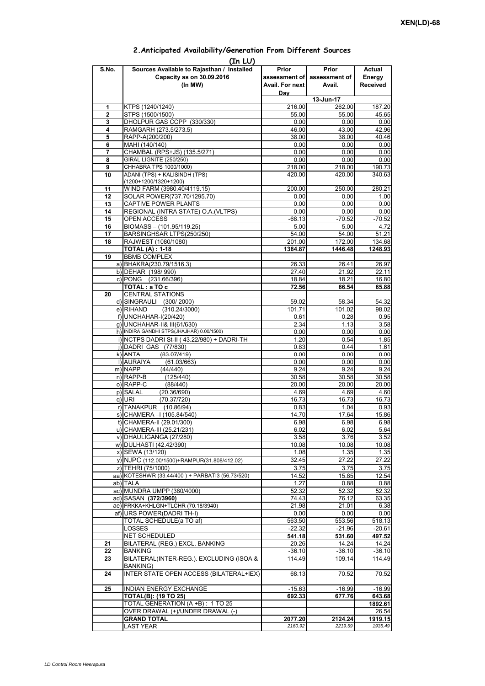| (In LU) |                                                 |                 |                             |                  |  |  |  |  |  |
|---------|-------------------------------------------------|-----------------|-----------------------------|------------------|--|--|--|--|--|
| S.No.   | Sources Available to Rajasthan / Installed      | Prior           | Prior                       | Actual           |  |  |  |  |  |
|         | Capacity as on 30.09.2016                       |                 | assessment of assessment of | Energy           |  |  |  |  |  |
|         | (In MW)                                         | Avail. For next | Avail.                      | <b>Received</b>  |  |  |  |  |  |
|         |                                                 | Day             |                             |                  |  |  |  |  |  |
|         |                                                 |                 | 13-Jun-17                   |                  |  |  |  |  |  |
| 1       | KTPS (1240/1240)                                | 216.00          | 262.00                      | 187.20           |  |  |  |  |  |
| 2       | STPS (1500/1500)                                | 55.00           | 55.00                       | 45.65            |  |  |  |  |  |
| 3       | DHOLPUR GAS CCPP (330/330)                      | 0.00            | 0.00                        | 0.00             |  |  |  |  |  |
| 4       | RAMGARH (273.5/273.5)                           | 46.00           | 43.00                       | 42.96            |  |  |  |  |  |
| 5       | RAPP-A(200/200)                                 | 38.00           | 38.00                       | 40.46            |  |  |  |  |  |
| 6       | MAHI (140/140)                                  | 0.00            | 0.00                        | 0.00             |  |  |  |  |  |
| 7       | CHAMBAL (RPS+JS) (135.5/271)                    | 0.00            | 0.00                        | 0.00             |  |  |  |  |  |
| 8       | GIRAL LIGNITE (250/250)                         | 0.00            | 0.00                        | 0.00             |  |  |  |  |  |
| 9       | CHHABRA TPS 1000/1000)                          | 218.00          | 218.00                      |                  |  |  |  |  |  |
| 10      | ADANI (TPS) + KALISINDH (TPS)                   | 420.00          | 420.00                      | 190.73<br>340.63 |  |  |  |  |  |
|         | (1200+1200/1320+1200)                           |                 |                             |                  |  |  |  |  |  |
| 11      | WIND FARM (3980.40/4119.15)                     | 200.00          | 250.00                      | 280.21           |  |  |  |  |  |
| 12      | SOLAR POWER(737.70/1295.70)                     | 0.00            | 0.00                        | 1.00             |  |  |  |  |  |
|         |                                                 |                 |                             |                  |  |  |  |  |  |
| 13      | CAPTIVE POWER PLANTS                            | 0.00            | 0.00                        | 0.00             |  |  |  |  |  |
| 14      | REGIONAL (INTRA STATE) O.A. (VLTPS)             | 0.00            | 0.00                        | 0.00             |  |  |  |  |  |
| 15      | OPEN ACCESS                                     | $-68.13$        | $-70.52$                    | $-70.52$         |  |  |  |  |  |
| 16      | BIOMASS - (101.95/119.25)                       | 5.00            | 5.00                        | 4.72             |  |  |  |  |  |
| 17      | BARSINGHSAR LTPS(250/250)                       | 54.00           | 54.00                       | 51.21            |  |  |  |  |  |
| 18      | RAJWEST (1080/1080)                             | 201.00          | 172.00                      | 134.68           |  |  |  |  |  |
|         | <b>TOTAL (A): 1-18</b>                          | 1384.87         | 1446.48                     | 1248.93          |  |  |  |  |  |
| 19      | <b>BBMB COMPLEX</b>                             |                 |                             |                  |  |  |  |  |  |
|         | a) BHAKRA(230.79/1516.3)                        | 26.33           | 26.41                       | 26.97            |  |  |  |  |  |
|         | b) DEHAR (198/990)                              | 27.40           | 21.92                       | 22.11            |  |  |  |  |  |
|         | c) PONG (231.66/396)                            | 18.84           | 18.21                       | 16.80            |  |  |  |  |  |
|         | TOTAL: a TO c                                   | 72.56           | 66.54                       | 65.88            |  |  |  |  |  |
| 20      | <b>CENTRAL STATIONS</b>                         |                 |                             |                  |  |  |  |  |  |
|         | d) SINGRAULI (300/2000)                         | 59.02           | 58.34                       | 54.32            |  |  |  |  |  |
|         | (310.24/3000)<br>e) RIHAND                      | 101.71          | 101.02                      | 98.02            |  |  |  |  |  |
|         | f) UNCHAHAR-I(20/420)                           | 0.61            | 0.28                        | 0.95             |  |  |  |  |  |
|         | g) UNCHAHAR-II& III(61/630)                     | 2.34            | 1.13                        | 3.58             |  |  |  |  |  |
|         | h) INDIRA GANDHI STPS(JHAJHAR) 0.00/1500)       | 0.00            | 0.00                        | 0.00             |  |  |  |  |  |
|         | i) NCTPS DADRI St-II (43.22/980) + DADRI-TH     | 1.20            | 0.54                        | 1.85             |  |  |  |  |  |
|         | j) DADRI GAS (77/830)                           | 0.83            | 0.44                        | 1.61             |  |  |  |  |  |
|         | $k)$ ANTA<br>(83.07/419)                        | 0.00            | 0.00                        | 0.00             |  |  |  |  |  |
|         | I) AURAIYA<br>(61.03/663)                       | 0.00            | 0.00                        | 0.00             |  |  |  |  |  |
|         | m) NAPP<br>(44/440)                             | 9.24            | 9.24                        | 9.24             |  |  |  |  |  |
|         | $n)$ RAPP-B<br>(125/440)                        | 30.58           | 30.58                       | 30.58            |  |  |  |  |  |
|         | o) RAPP-C<br>(88/440)                           | 20.00           | 20.00                       | 20.00            |  |  |  |  |  |
|         | p) SALAL<br>(20.36/690)                         | 4.69            | 4.69                        | 4.60             |  |  |  |  |  |
|         | (70.37/720)<br>q) URI                           | 16.73           | 16.73                       | 16.73            |  |  |  |  |  |
|         | r) TANAKPUR (10.86/94)                          | 0.83            | 1.04                        | 0.93             |  |  |  |  |  |
|         | s) CHAMERA - (105.84/540)                       |                 | 17.64                       |                  |  |  |  |  |  |
|         |                                                 | 14.70           |                             | 15.86            |  |  |  |  |  |
|         | t) CHAMERA-II (29.01/300)                       | 6.98            | 6.98                        | 6.98             |  |  |  |  |  |
|         | u) CHAMERA-III (25.21/231)                      | 6.02            | 6.02                        | 5.64             |  |  |  |  |  |
|         | v) DHAULIGANGA (27/280)                         | 3.58            | 3.76                        | 3.52             |  |  |  |  |  |
|         | w) DULHASTI (42.42/390)                         | 10.08           | 10.08                       | 10.08            |  |  |  |  |  |
|         | x) SEWA (13/120)                                | 1.08            | 1.35                        | 1.35             |  |  |  |  |  |
|         | y) NJPC (112.00/1500) + RAMPUR(31.808/412.02)   | 32.45           | 27.22                       | 27.22            |  |  |  |  |  |
|         | z) TEHRI (75/1000)                              | 3.75            | 3.75                        | 3.75             |  |  |  |  |  |
|         | aa) KOTESHWR (33.44/400) + PARBATI3 (56.73/520) | 14.52           | 15.85                       | 12.54            |  |  |  |  |  |
|         | ab) TALA                                        | 1.27            | 0.88                        | 0.88             |  |  |  |  |  |
|         | ac) MUNDRA UMPP (380/4000)                      | 52.32           | 52.32                       | 52.32            |  |  |  |  |  |
|         | ad) SASAN (372/3960)                            | 74.43           | 76.12                       | 63.35            |  |  |  |  |  |
|         | ae) FRKKA+KHLGN+TLCHR (70.18/3940)              | 21.98           | 21.01                       | 6.38             |  |  |  |  |  |
|         | af) URS POWER(DADRI TH-I)                       | 0.00            | 0.00                        | 0.00             |  |  |  |  |  |
|         | TOTAL SCHEDULE(a TO af)                         | 563.50          | 553.56                      | 518.13           |  |  |  |  |  |
|         | <b>LOSSES</b>                                   | $-22.32$        | $-21.96$                    | $-20.61$         |  |  |  |  |  |
|         | NET SCHEDULED                                   | 541.18          | 531.60                      | 497.52           |  |  |  |  |  |
| 21      | BILATERAL (REG.) EXCL. BANKING                  | 20.26           | 14.24                       | 14.24            |  |  |  |  |  |
| 22      | <b>BANKING</b>                                  | $-36.10$        | $-36.10$                    | $-36.10$         |  |  |  |  |  |
| 23      | BILATERAL(INTER-REG.). EXCLUDING (ISOA &        | 114.49          | 109.14                      | 114.49           |  |  |  |  |  |
|         | BANKING)                                        |                 |                             |                  |  |  |  |  |  |
| 24      | INTER STATE OPEN ACCESS (BILATERAL+IEX)         | 68.13           | 70.52                       | 70.52            |  |  |  |  |  |
|         |                                                 |                 |                             |                  |  |  |  |  |  |
| 25      | <b>INDIAN ENERGY EXCHANGE</b>                   | $-15.63$        | $-16.99$                    | $-16.99$         |  |  |  |  |  |
|         | <b>TOTAL(B): (19 TO 25)</b>                     | 692.33          | 677.76                      | 643.68           |  |  |  |  |  |
|         | TOTAL GENERATION (A +B) : 1 TO 25               |                 |                             | 1892.61          |  |  |  |  |  |
|         | OVER DRAWAL (+)/UNDER DRAWAL (-)                |                 |                             | 26.54            |  |  |  |  |  |
|         | <b>GRAND TOTAL</b>                              | 2077.20         | 2124.24                     | 1919.15          |  |  |  |  |  |
|         | <b>LAST YEAR</b>                                | 2160.92         | 2219.59                     | 1935.49          |  |  |  |  |  |

## **2.Anticipated Availability/Generation From Different Sources**